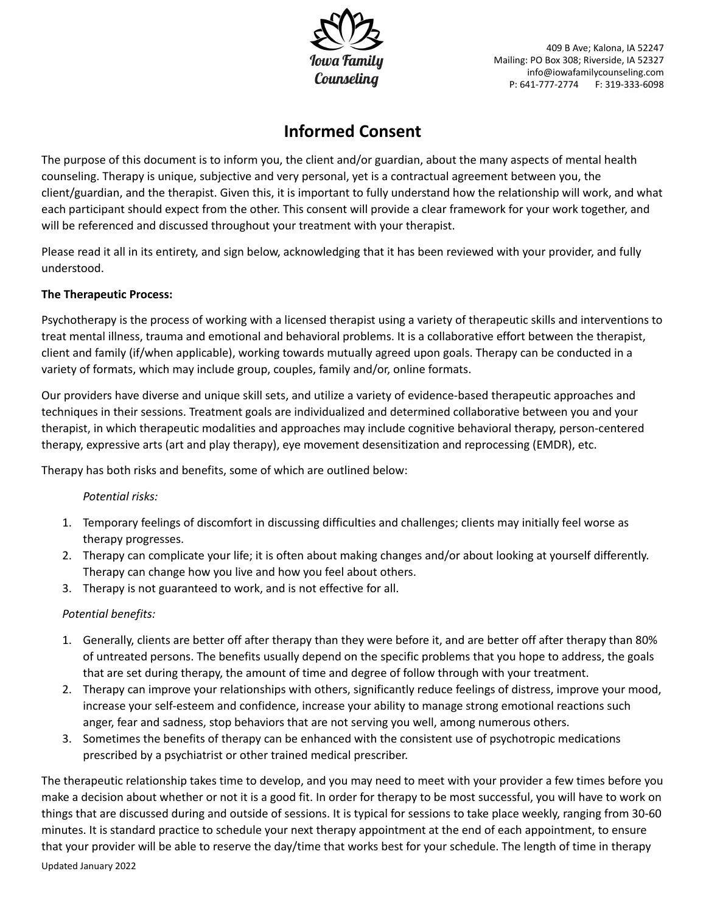

# **Informed Consent**

The purpose of this document is to inform you, the client and/or guardian, about the many aspects of mental health counseling. Therapy is unique, subjective and very personal, yet is a contractual agreement between you, the client/guardian, and the therapist. Given this, it is important to fully understand how the relationship will work, and what each participant should expect from the other. This consent will provide a clear framework for your work together, and will be referenced and discussed throughout your treatment with your therapist.

Please read it all in its entirety, and sign below, acknowledging that it has been reviewed with your provider, and fully understood.

# **The Therapeutic Process:**

Psychotherapy is the process of working with a licensed therapist using a variety of therapeutic skills and interventions to treat mental illness, trauma and emotional and behavioral problems. It is a collaborative effort between the therapist, client and family (if/when applicable), working towards mutually agreed upon goals. Therapy can be conducted in a variety of formats, which may include group, couples, family and/or, online formats.

Our providers have diverse and unique skill sets, and utilize a variety of evidence-based therapeutic approaches and techniques in their sessions. Treatment goals are individualized and determined collaborative between you and your therapist, in which therapeutic modalities and approaches may include cognitive behavioral therapy, person-centered therapy, expressive arts (art and play therapy), eye movement desensitization and reprocessing (EMDR), etc.

Therapy has both risks and benefits, some of which are outlined below:

# *Potential risks:*

- 1. Temporary feelings of discomfort in discussing difficulties and challenges; clients may initially feel worse as therapy progresses.
- 2. Therapy can complicate your life; it is often about making changes and/or about looking at yourself differently. Therapy can change how you live and how you feel about others.
- 3. Therapy is not guaranteed to work, and is not effective for all.

# *Potential benefits:*

- 1. Generally, clients are better off after therapy than they were before it, and are better off after therapy than 80% of untreated persons. The benefits usually depend on the specific problems that you hope to address, the goals that are set during therapy, the amount of time and degree of follow through with your treatment.
- 2. Therapy can improve your relationships with others, significantly reduce feelings of distress, improve your mood, increase your self-esteem and confidence, increase your ability to manage strong emotional reactions such anger, fear and sadness, stop behaviors that are not serving you well, among numerous others.
- 3. Sometimes the benefits of therapy can be enhanced with the consistent use of psychotropic medications prescribed by a psychiatrist or other trained medical prescriber.

The therapeutic relationship takes time to develop, and you may need to meet with your provider a few times before you make a decision about whether or not it is a good fit. In order for therapy to be most successful, you will have to work on things that are discussed during and outside of sessions. It is typical for sessions to take place weekly, ranging from 30-60 minutes. It is standard practice to schedule your next therapy appointment at the end of each appointment, to ensure that your provider will be able to reserve the day/time that works best for your schedule. The length of time in therapy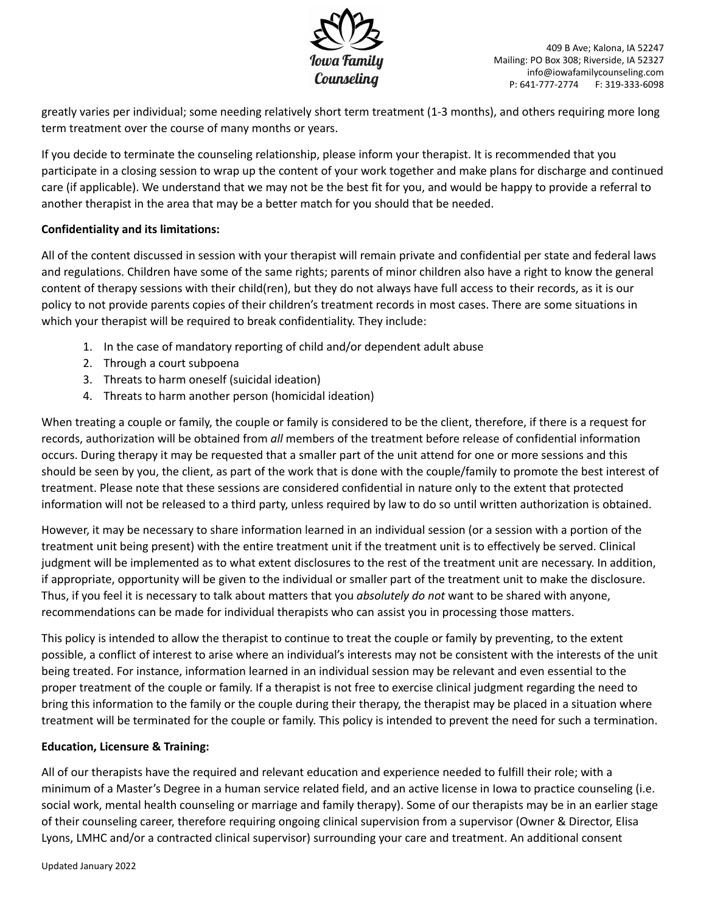

greatly varies per individual; some needing relatively short term treatment (1-3 months), and others requiring more long term treatment over the course of many months or years.

If you decide to terminate the counseling relationship, please inform your therapist. It is recommended that you participate in a closing session to wrap up the content of your work together and make plans for discharge and continued care (if applicable). We understand that we may not be the best fit for you, and would be happy to provide a referral to another therapist in the area that may be a better match for you should that be needed.

# **Confidentiality and its limitations:**

All of the content discussed in session with your therapist will remain private and confidential per state and federal laws and regulations. Children have some of the same rights; parents of minor children also have a right to know the general content of therapy sessions with their child(ren), but they do not always have full access to their records, as it is our policy to not provide parents copies of their children's treatment records in most cases. There are some situations in which your therapist will be required to break confidentiality. They include:

- 1. In the case of mandatory reporting of child and/or dependent adult abuse
- 2. Through a court subpoena
- 3. Threats to harm oneself (suicidal ideation)
- 4. Threats to harm another person (homicidal ideation)

When treating a couple or family, the couple or family is considered to be the client, therefore, if there is a request for records, authorization will be obtained from *all* members of the treatment before release of confidential information occurs. During therapy it may be requested that a smaller part of the unit attend for one or more sessions and this should be seen by you, the client, as part of the work that is done with the couple/family to promote the best interest of treatment. Please note that these sessions are considered confidential in nature only to the extent that protected information will not be released to a third party, unless required by law to do so until written authorization is obtained.

However, it may be necessary to share information learned in an individual session (or a session with a portion of the treatment unit being present) with the entire treatment unit if the treatment unit is to effectively be served. Clinical judgment will be implemented as to what extent disclosures to the rest of the treatment unit are necessary. In addition, if appropriate, opportunity will be given to the individual or smaller part of the treatment unit to make the disclosure. Thus, if you feel it is necessary to talk about matters that you *absolutely do not* want to be shared with anyone, recommendations can be made for individual therapists who can assist you in processing those matters.

This policy is intended to allow the therapist to continue to treat the couple or family by preventing, to the extent possible, a conflict of interest to arise where an individual's interests may not be consistent with the interests of the unit being treated. For instance, information learned in an individual session may be relevant and even essential to the proper treatment of the couple or family. If a therapist is not free to exercise clinical judgment regarding the need to bring this information to the family or the couple during their therapy, the therapist may be placed in a situation where treatment will be terminated for the couple or family. This policy is intended to prevent the need for such a termination.

## **Education, Licensure & Training:**

All of our therapists have the required and relevant education and experience needed to fulfill their role; with a minimum of a Master's Degree in a human service related field, and an active license in Iowa to practice counseling (i.e. social work, mental health counseling or marriage and family therapy). Some of our therapists may be in an earlier stage of their counseling career, therefore requiring ongoing clinical supervision from a supervisor (Owner & Director, Elisa Lyons, LMHC and/or a contracted clinical supervisor) surrounding your care and treatment. An additional consent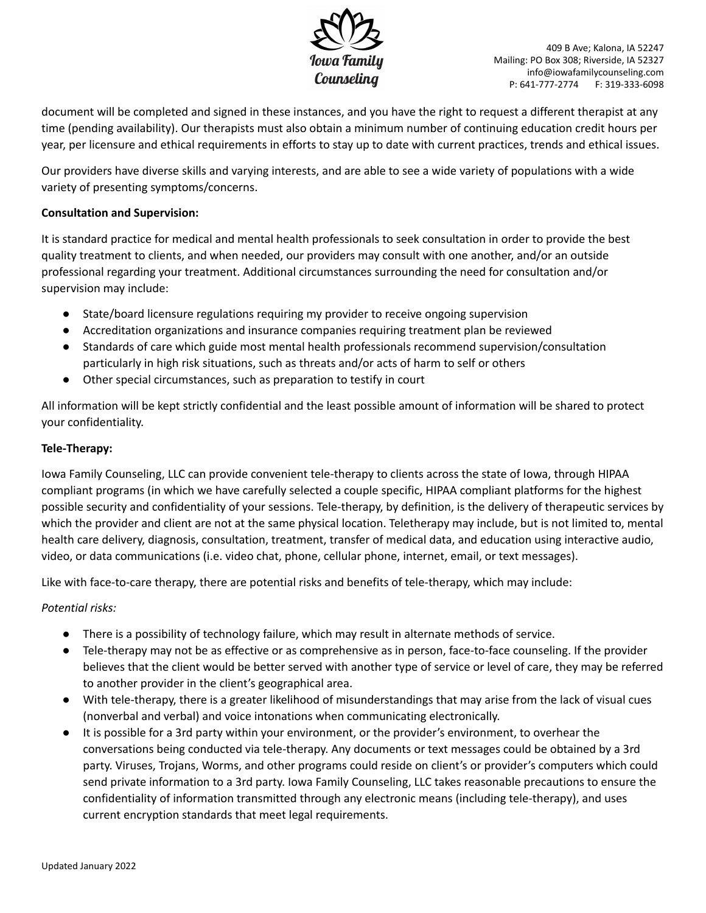

document will be completed and signed in these instances, and you have the right to request a different therapist at any time (pending availability). Our therapists must also obtain a minimum number of continuing education credit hours per year, per licensure and ethical requirements in efforts to stay up to date with current practices, trends and ethical issues.

Our providers have diverse skills and varying interests, and are able to see a wide variety of populations with a wide variety of presenting symptoms/concerns.

## **Consultation and Supervision:**

It is standard practice for medical and mental health professionals to seek consultation in order to provide the best quality treatment to clients, and when needed, our providers may consult with one another, and/or an outside professional regarding your treatment. Additional circumstances surrounding the need for consultation and/or supervision may include:

- State/board licensure regulations requiring my provider to receive ongoing supervision
- Accreditation organizations and insurance companies requiring treatment plan be reviewed
- Standards of care which guide most mental health professionals recommend supervision/consultation particularly in high risk situations, such as threats and/or acts of harm to self or others
- Other special circumstances, such as preparation to testify in court

All information will be kept strictly confidential and the least possible amount of information will be shared to protect your confidentiality.

#### **Tele-Therapy:**

Iowa Family Counseling, LLC can provide convenient tele-therapy to clients across the state of Iowa, through HIPAA compliant programs (in which we have carefully selected a couple specific, HIPAA compliant platforms for the highest possible security and confidentiality of your sessions. Tele-therapy, by definition, is the delivery of therapeutic services by which the provider and client are not at the same physical location. Teletherapy may include, but is not limited to, mental health care delivery, diagnosis, consultation, treatment, transfer of medical data, and education using interactive audio, video, or data communications (i.e. video chat, phone, cellular phone, internet, email, or text messages).

Like with face-to-care therapy, there are potential risks and benefits of tele-therapy, which may include:

## *Potential risks:*

- There is a possibility of technology failure, which may result in alternate methods of service.
- Tele-therapy may not be as effective or as comprehensive as in person, face-to-face counseling. If the provider believes that the client would be better served with another type of service or level of care, they may be referred to another provider in the client's geographical area.
- With tele-therapy, there is a greater likelihood of misunderstandings that may arise from the lack of visual cues (nonverbal and verbal) and voice intonations when communicating electronically.
- It is possible for a 3rd party within your environment, or the provider's environment, to overhear the conversations being conducted via tele-therapy. Any documents or text messages could be obtained by a 3rd party. Viruses, Trojans, Worms, and other programs could reside on client's or provider's computers which could send private information to a 3rd party. Iowa Family Counseling, LLC takes reasonable precautions to ensure the confidentiality of information transmitted through any electronic means (including tele-therapy), and uses current encryption standards that meet legal requirements.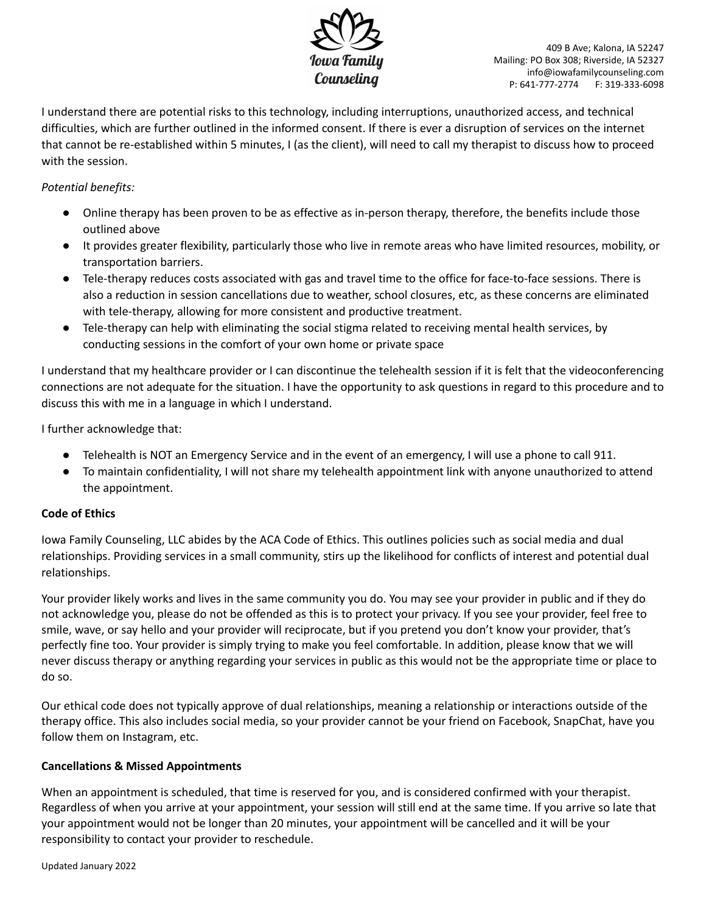

I understand there are potential risks to this technology, including interruptions, unauthorized access, and technical difficulties, which are further outlined in the informed consent. If there is ever a disruption of services on the internet that cannot be re-established within 5 minutes, I (as the client), will need to call my therapist to discuss how to proceed with the session.

# *Potential benefits:*

- Online therapy has been proven to be as effective as in-person therapy, therefore, the benefits include those outlined above
- It provides greater flexibility, particularly those who live in remote areas who have limited resources, mobility, or transportation barriers.
- Tele-therapy reduces costs associated with gas and travel time to the office for face-to-face sessions. There is also a reduction in session cancellations due to weather, school closures, etc, as these concerns are eliminated with tele-therapy, allowing for more consistent and productive treatment.
- Tele-therapy can help with eliminating the social stigma related to receiving mental health services, by conducting sessions in the comfort of your own home or private space

I understand that my healthcare provider or I can discontinue the telehealth session if it is felt that the videoconferencing connections are not adequate for the situation. I have the opportunity to ask questions in regard to this procedure and to discuss this with me in a language in which I understand.

I further acknowledge that:

- Telehealth is NOT an Emergency Service and in the event of an emergency, I will use a phone to call 911.
- To maintain confidentiality, I will not share my telehealth appointment link with anyone unauthorized to attend the appointment.

## **Code of Ethics**

Iowa Family Counseling, LLC abides by the ACA Code of Ethics. This outlines policies such as social media and dual relationships. Providing services in a small community, stirs up the likelihood for conflicts of interest and potential dual relationships.

Your provider likely works and lives in the same community you do. You may see your provider in public and if they do not acknowledge you, please do not be offended as this is to protect your privacy. If you see your provider, feel free to smile, wave, or say hello and your provider will reciprocate, but if you pretend you don't know your provider, that's perfectly fine too. Your provider is simply trying to make you feel comfortable. In addition, please know that we will never discuss therapy or anything regarding your services in public as this would not be the appropriate time or place to do so.

Our ethical code does not typically approve of dual relationships, meaning a relationship or interactions outside of the therapy office. This also includes social media, so your provider cannot be your friend on Facebook, SnapChat, have you follow them on Instagram, etc.

## **Cancellations & Missed Appointments**

When an appointment is scheduled, that time is reserved for you, and is considered confirmed with your therapist. Regardless of when you arrive at your appointment, your session will still end at the same time. If you arrive so late that your appointment would not be longer than 20 minutes, your appointment will be cancelled and it will be your responsibility to contact your provider to reschedule.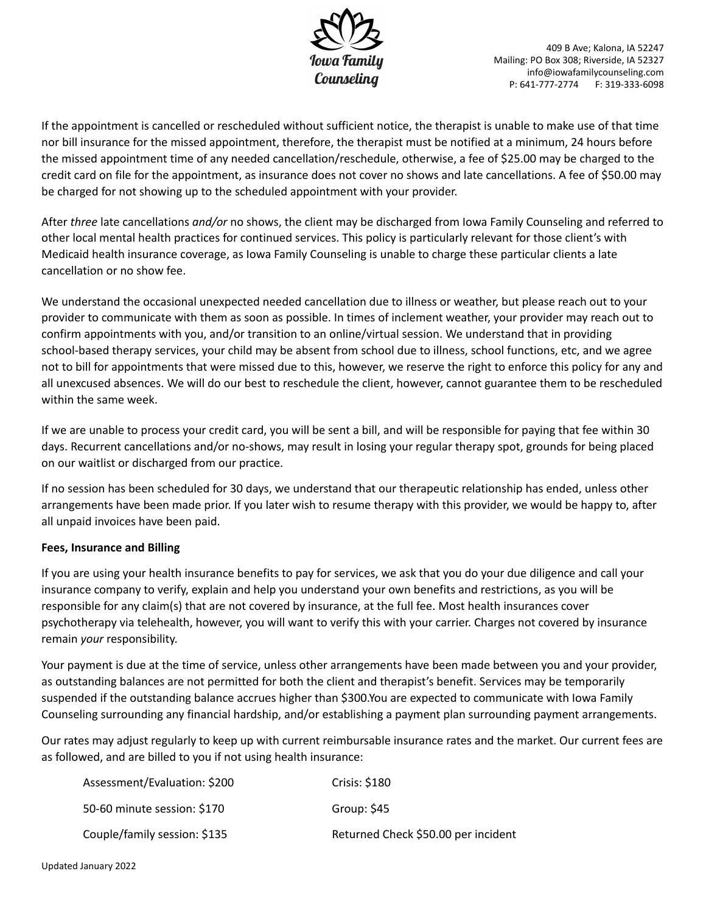

If the appointment is cancelled or rescheduled without sufficient notice, the therapist is unable to make use of that time nor bill insurance for the missed appointment, therefore, the therapist must be notified at a minimum, 24 hours before the missed appointment time of any needed cancellation/reschedule, otherwise, a fee of \$25.00 may be charged to the credit card on file for the appointment, as insurance does not cover no shows and late cancellations. A fee of \$50.00 may be charged for not showing up to the scheduled appointment with your provider.

After *three* late cancellations *and/or* no shows, the client may be discharged from Iowa Family Counseling and referred to other local mental health practices for continued services. This policy is particularly relevant for those client's with Medicaid health insurance coverage, as Iowa Family Counseling is unable to charge these particular clients a late cancellation or no show fee.

We understand the occasional unexpected needed cancellation due to illness or weather, but please reach out to your provider to communicate with them as soon as possible. In times of inclement weather, your provider may reach out to confirm appointments with you, and/or transition to an online/virtual session. We understand that in providing school-based therapy services, your child may be absent from school due to illness, school functions, etc, and we agree not to bill for appointments that were missed due to this, however, we reserve the right to enforce this policy for any and all unexcused absences. We will do our best to reschedule the client, however, cannot guarantee them to be rescheduled within the same week.

If we are unable to process your credit card, you will be sent a bill, and will be responsible for paying that fee within 30 days. Recurrent cancellations and/or no-shows, may result in losing your regular therapy spot, grounds for being placed on our waitlist or discharged from our practice.

If no session has been scheduled for 30 days, we understand that our therapeutic relationship has ended, unless other arrangements have been made prior. If you later wish to resume therapy with this provider, we would be happy to, after all unpaid invoices have been paid.

## **Fees, Insurance and Billing**

If you are using your health insurance benefits to pay for services, we ask that you do your due diligence and call your insurance company to verify, explain and help you understand your own benefits and restrictions, as you will be responsible for any claim(s) that are not covered by insurance, at the full fee. Most health insurances cover psychotherapy via telehealth, however, you will want to verify this with your carrier. Charges not covered by insurance remain *your* responsibility.

Your payment is due at the time of service, unless other arrangements have been made between you and your provider, as outstanding balances are not permitted for both the client and therapist's benefit. Services may be temporarily suspended if the outstanding balance accrues higher than \$300.You are expected to communicate with Iowa Family Counseling surrounding any financial hardship, and/or establishing a payment plan surrounding payment arrangements.

Our rates may adjust regularly to keep up with current reimbursable insurance rates and the market. Our current fees are as followed, and are billed to you if not using health insurance:

| Assessment/Evaluation: \$200 | Crisis: \$180                       |
|------------------------------|-------------------------------------|
| 50-60 minute session: \$170  | Group: \$45                         |
| Couple/family session: \$135 | Returned Check \$50.00 per incident |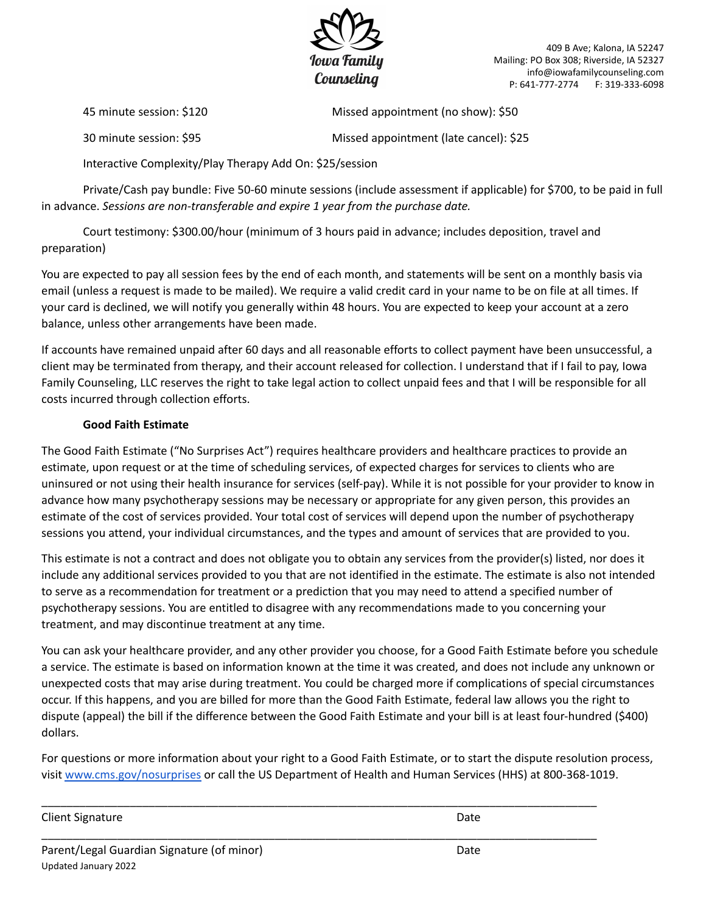

45 minute session: \$120 Missed appointment (no show): \$50

30 minute session: \$95 Missed appointment (late cancel): \$25

Interactive Complexity/Play Therapy Add On: \$25/session

Private/Cash pay bundle: Five 50-60 minute sessions (include assessment if applicable) for \$700, to be paid in full in advance. *Sessions are non-transferable and expire 1 year from the purchase date.*

Court testimony: \$300.00/hour (minimum of 3 hours paid in advance; includes deposition, travel and preparation)

You are expected to pay all session fees by the end of each month, and statements will be sent on a monthly basis via email (unless a request is made to be mailed). We require a valid credit card in your name to be on file at all times. If your card is declined, we will notify you generally within 48 hours. You are expected to keep your account at a zero balance, unless other arrangements have been made.

If accounts have remained unpaid after 60 days and all reasonable efforts to collect payment have been unsuccessful, a client may be terminated from therapy, and their account released for collection. I understand that if I fail to pay, Iowa Family Counseling, LLC reserves the right to take legal action to collect unpaid fees and that I will be responsible for all costs incurred through collection efforts.

# **Good Faith Estimate**

The Good Faith Estimate ("No Surprises Act") requires healthcare providers and healthcare practices to provide an estimate, upon request or at the time of scheduling services, of expected charges for services to clients who are uninsured or not using their health insurance for services (self-pay). While it is not possible for your provider to know in advance how many psychotherapy sessions may be necessary or appropriate for any given person, this provides an estimate of the cost of services provided. Your total cost of services will depend upon the number of psychotherapy sessions you attend, your individual circumstances, and the types and amount of services that are provided to you.

This estimate is not a contract and does not obligate you to obtain any services from the provider(s) listed, nor does it include any additional services provided to you that are not identified in the estimate. The estimate is also not intended to serve as a recommendation for treatment or a prediction that you may need to attend a specified number of psychotherapy sessions. You are entitled to disagree with any recommendations made to you concerning your treatment, and may discontinue treatment at any time.

You can ask your healthcare provider, and any other provider you choose, for a Good Faith Estimate before you schedule a service. The estimate is based on information known at the time it was created, and does not include any unknown or unexpected costs that may arise during treatment. You could be charged more if complications of special circumstances occur. If this happens, and you are billed for more than the Good Faith Estimate, federal law allows you the right to dispute (appeal) the bill if the difference between the Good Faith Estimate and your bill is at least four-hundred (\$400) dollars.

For questions or more information about your right to a Good Faith Estimate, or to start the dispute resolution process, visit [www.cms.gov/nosurprises](http://www.cms.gov/nosurprises) or call the US Department of Health and Human Services (HHS) at 800-368-1019.

\_\_\_\_\_\_\_\_\_\_\_\_\_\_\_\_\_\_\_\_\_\_\_\_\_\_\_\_\_\_\_\_\_\_\_\_\_\_\_\_\_\_\_\_\_\_\_\_\_\_\_\_\_\_\_\_\_\_\_\_\_\_\_\_\_\_\_\_\_\_\_\_\_\_\_\_\_\_\_\_\_\_\_\_\_\_\_\_

\_\_\_\_\_\_\_\_\_\_\_\_\_\_\_\_\_\_\_\_\_\_\_\_\_\_\_\_\_\_\_\_\_\_\_\_\_\_\_\_\_\_\_\_\_\_\_\_\_\_\_\_\_\_\_\_\_\_\_\_\_\_\_\_\_\_\_\_\_\_\_\_\_\_\_\_\_\_\_\_\_\_\_\_\_\_\_\_

Client Signature Date Date of the United States of the United States of the Date Date Only 10 and 2012 11:00:00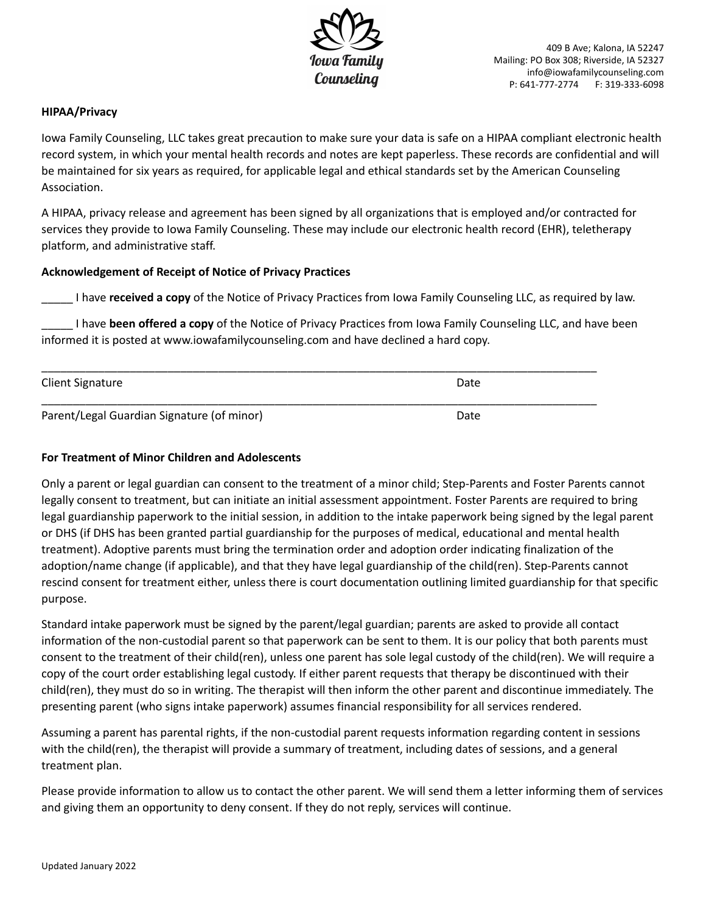

#### **HIPAA/Privacy**

Iowa Family Counseling, LLC takes great precaution to make sure your data is safe on a HIPAA compliant electronic health record system, in which your mental health records and notes are kept paperless. These records are confidential and will be maintained for six years as required, for applicable legal and ethical standards set by the American Counseling Association.

A HIPAA, privacy release and agreement has been signed by all organizations that is employed and/or contracted for services they provide to Iowa Family Counseling. These may include our electronic health record (EHR), teletherapy platform, and administrative staff.

#### **Acknowledgement of Receipt of Notice of Privacy Practices**

\_\_\_\_\_ I have **received a copy** of the Notice of Privacy Practices from Iowa Family Counseling LLC, as required by law.

\_\_\_\_\_ I have **been offered a copy** of the Notice of Privacy Practices from Iowa Family Counseling LLC, and have been informed it is posted at www.iowafamilycounseling.com and have declined a hard copy.

| <b>Client Signature</b>                    | Date |  |
|--------------------------------------------|------|--|
|                                            |      |  |
| Parent/Legal Guardian Signature (of minor) | Date |  |

#### **For Treatment of Minor Children and Adolescents**

Only a parent or legal guardian can consent to the treatment of a minor child; Step-Parents and Foster Parents cannot legally consent to treatment, but can initiate an initial assessment appointment. Foster Parents are required to bring legal guardianship paperwork to the initial session, in addition to the intake paperwork being signed by the legal parent or DHS (if DHS has been granted partial guardianship for the purposes of medical, educational and mental health treatment). Adoptive parents must bring the termination order and adoption order indicating finalization of the adoption/name change (if applicable), and that they have legal guardianship of the child(ren). Step-Parents cannot rescind consent for treatment either, unless there is court documentation outlining limited guardianship for that specific purpose.

Standard intake paperwork must be signed by the parent/legal guardian; parents are asked to provide all contact information of the non-custodial parent so that paperwork can be sent to them. It is our policy that both parents must consent to the treatment of their child(ren), unless one parent has sole legal custody of the child(ren). We will require a copy of the court order establishing legal custody. If either parent requests that therapy be discontinued with their child(ren), they must do so in writing. The therapist will then inform the other parent and discontinue immediately. The presenting parent (who signs intake paperwork) assumes financial responsibility for all services rendered.

Assuming a parent has parental rights, if the non-custodial parent requests information regarding content in sessions with the child(ren), the therapist will provide a summary of treatment, including dates of sessions, and a general treatment plan.

Please provide information to allow us to contact the other parent. We will send them a letter informing them of services and giving them an opportunity to deny consent. If they do not reply, services will continue.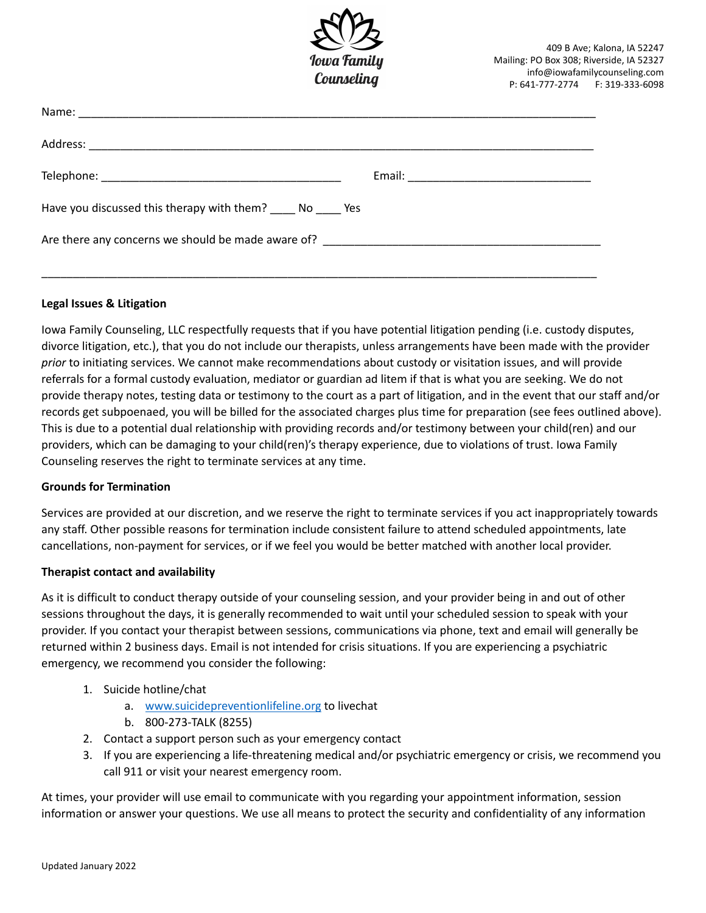

| Have you discussed this therapy with them? No Yes |  |
|---------------------------------------------------|--|
|                                                   |  |
|                                                   |  |

#### **Legal Issues & Litigation**

Iowa Family Counseling, LLC respectfully requests that if you have potential litigation pending (i.e. custody disputes, divorce litigation, etc.), that you do not include our therapists, unless arrangements have been made with the provider *prior* to initiating services. We cannot make recommendations about custody or visitation issues, and will provide referrals for a formal custody evaluation, mediator or guardian ad litem if that is what you are seeking. We do not provide therapy notes, testing data or testimony to the court as a part of litigation, and in the event that our staff and/or records get subpoenaed, you will be billed for the associated charges plus time for preparation (see fees outlined above). This is due to a potential dual relationship with providing records and/or testimony between your child(ren) and our providers, which can be damaging to your child(ren)'s therapy experience, due to violations of trust. Iowa Family Counseling reserves the right to terminate services at any time.

#### **Grounds for Termination**

Services are provided at our discretion, and we reserve the right to terminate services if you act inappropriately towards any staff. Other possible reasons for termination include consistent failure to attend scheduled appointments, late cancellations, non-payment for services, or if we feel you would be better matched with another local provider.

#### **Therapist contact and availability**

As it is difficult to conduct therapy outside of your counseling session, and your provider being in and out of other sessions throughout the days, it is generally recommended to wait until your scheduled session to speak with your provider. If you contact your therapist between sessions, communications via phone, text and email will generally be returned within 2 business days. Email is not intended for crisis situations. If you are experiencing a psychiatric emergency, we recommend you consider the following:

- 1. Suicide hotline/chat
	- a. [www.suicidepreventionlifeline.org](http://www.suicidepreventionlifeline.org) to livechat
	- b. 800-273-TALK (8255)
- 2. Contact a support person such as your emergency contact
- 3. If you are experiencing a life-threatening medical and/or psychiatric emergency or crisis, we recommend you call 911 or visit your nearest emergency room.

At times, your provider will use email to communicate with you regarding your appointment information, session information or answer your questions. We use all means to protect the security and confidentiality of any information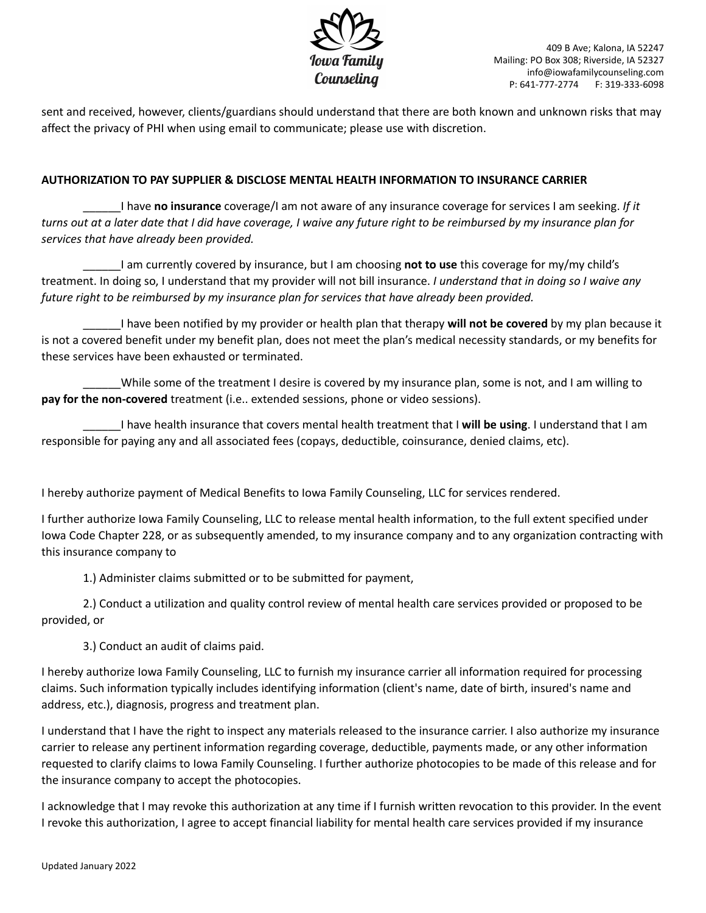

sent and received, however, clients/guardians should understand that there are both known and unknown risks that may affect the privacy of PHI when using email to communicate; please use with discretion.

# **AUTHORIZATION TO PAY SUPPLIER & DISCLOSE MENTAL HEALTH INFORMATION TO INSURANCE CARRIER**

\_\_\_\_\_\_I have **no insurance** coverage/I am not aware of any insurance coverage for services I am seeking. *If it* turns out at a later date that I did have coverage, I waive any future right to be reimbursed by my insurance plan for *services that have already been provided.*

\_\_\_\_\_\_I am currently covered by insurance, but I am choosing **not to use** this coverage for my/my child's treatment. In doing so, I understand that my provider will not bill insurance. *I understand that in doing so I waive any future right to be reimbursed by my insurance plan for services that have already been provided.*

\_\_\_\_\_\_I have been notified by my provider or health plan that therapy **will not be covered** by my plan because it is not a covered benefit under my benefit plan, does not meet the plan's medical necessity standards, or my benefits for these services have been exhausted or terminated.

While some of the treatment I desire is covered by my insurance plan, some is not, and I am willing to **pay for the non-covered** treatment (i.e.. extended sessions, phone or video sessions).

\_\_\_\_\_\_I have health insurance that covers mental health treatment that I **will be using**. I understand that I am responsible for paying any and all associated fees (copays, deductible, coinsurance, denied claims, etc).

I hereby authorize payment of Medical Benefits to Iowa Family Counseling, LLC for services rendered.

I further authorize Iowa Family Counseling, LLC to release mental health information, to the full extent specified under Iowa Code Chapter 228, or as subsequently amended, to my insurance company and to any organization contracting with this insurance company to

1.) Administer claims submitted or to be submitted for payment,

2.) Conduct a utilization and quality control review of mental health care services provided or proposed to be provided, or

3.) Conduct an audit of claims paid.

I hereby authorize Iowa Family Counseling, LLC to furnish my insurance carrier all information required for processing claims. Such information typically includes identifying information (client's name, date of birth, insured's name and address, etc.), diagnosis, progress and treatment plan.

I understand that I have the right to inspect any materials released to the insurance carrier. I also authorize my insurance carrier to release any pertinent information regarding coverage, deductible, payments made, or any other information requested to clarify claims to Iowa Family Counseling. I further authorize photocopies to be made of this release and for the insurance company to accept the photocopies.

I acknowledge that I may revoke this authorization at any time if I furnish written revocation to this provider. In the event I revoke this authorization, I agree to accept financial liability for mental health care services provided if my insurance